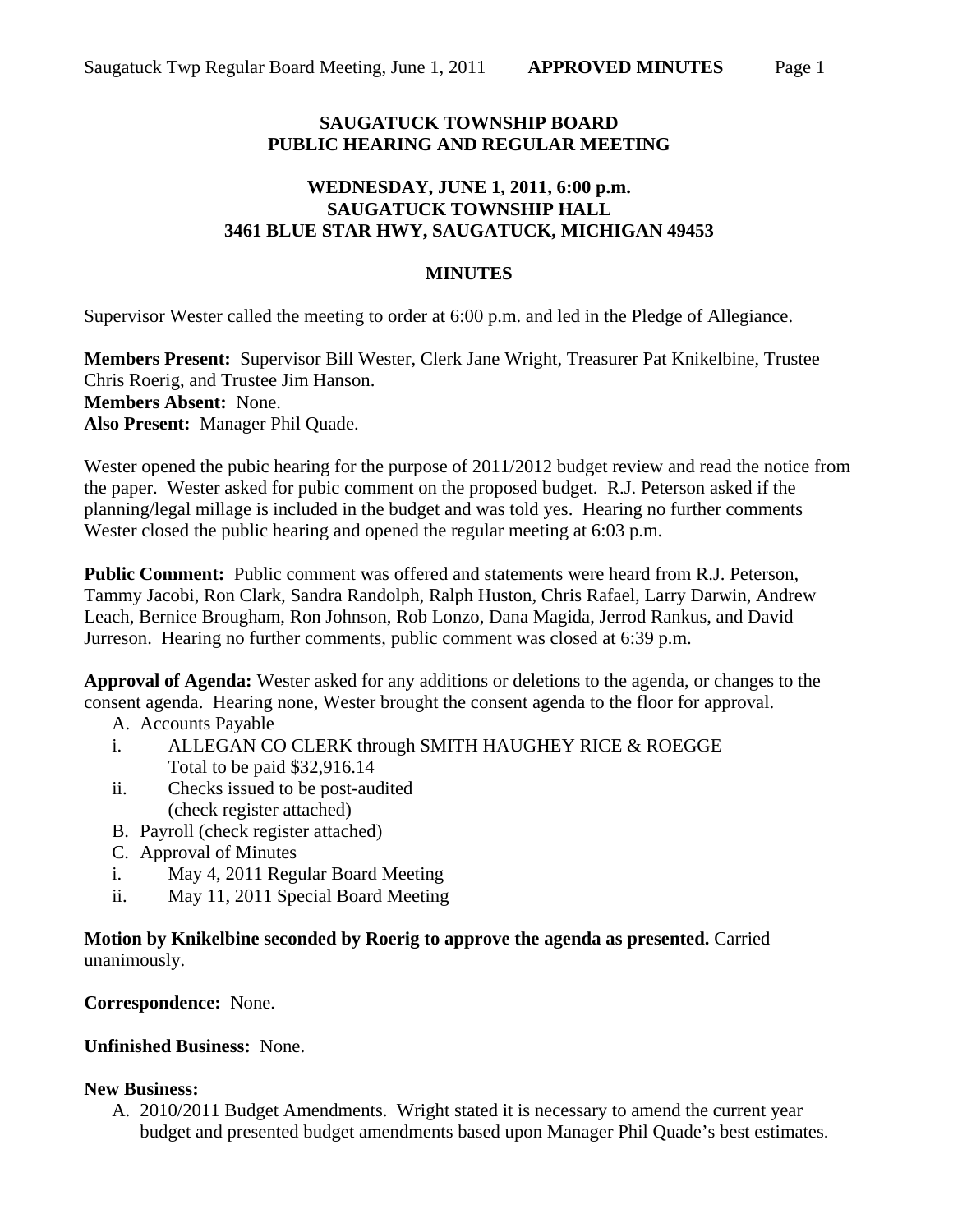#### **SAUGATUCK TOWNSHIP BOARD PUBLIC HEARING AND REGULAR MEETING**

# **WEDNESDAY, JUNE 1, 2011, 6:00 p.m. SAUGATUCK TOWNSHIP HALL 3461 BLUE STAR HWY, SAUGATUCK, MICHIGAN 49453**

### **MINUTES**

Supervisor Wester called the meeting to order at 6:00 p.m. and led in the Pledge of Allegiance.

**Members Present:** Supervisor Bill Wester, Clerk Jane Wright, Treasurer Pat Knikelbine, Trustee Chris Roerig, and Trustee Jim Hanson. **Members Absent:** None. **Also Present:** Manager Phil Quade.

Wester opened the pubic hearing for the purpose of 2011/2012 budget review and read the notice from the paper. Wester asked for pubic comment on the proposed budget. R.J. Peterson asked if the planning/legal millage is included in the budget and was told yes. Hearing no further comments Wester closed the public hearing and opened the regular meeting at 6:03 p.m.

**Public Comment:** Public comment was offered and statements were heard from R.J. Peterson, Tammy Jacobi, Ron Clark, Sandra Randolph, Ralph Huston, Chris Rafael, Larry Darwin, Andrew Leach, Bernice Brougham, Ron Johnson, Rob Lonzo, Dana Magida, Jerrod Rankus, and David Jurreson. Hearing no further comments, public comment was closed at 6:39 p.m.

**Approval of Agenda:** Wester asked for any additions or deletions to the agenda, or changes to the consent agenda. Hearing none, Wester brought the consent agenda to the floor for approval.

- A. Accounts Payable
- i. ALLEGAN CO CLERK through SMITH HAUGHEY RICE & ROEGGE Total to be paid \$32,916.14
- ii. Checks issued to be post-audited (check register attached)
- B. Payroll (check register attached)
- C. Approval of Minutes
- i. May 4, 2011 Regular Board Meeting
- ii. May 11, 2011 Special Board Meeting

**Motion by Knikelbine seconded by Roerig to approve the agenda as presented.** Carried unanimously.

**Correspondence:** None.

# **Unfinished Business:** None.

# **New Business:**

A. 2010/2011 Budget Amendments. Wright stated it is necessary to amend the current year budget and presented budget amendments based upon Manager Phil Quade's best estimates.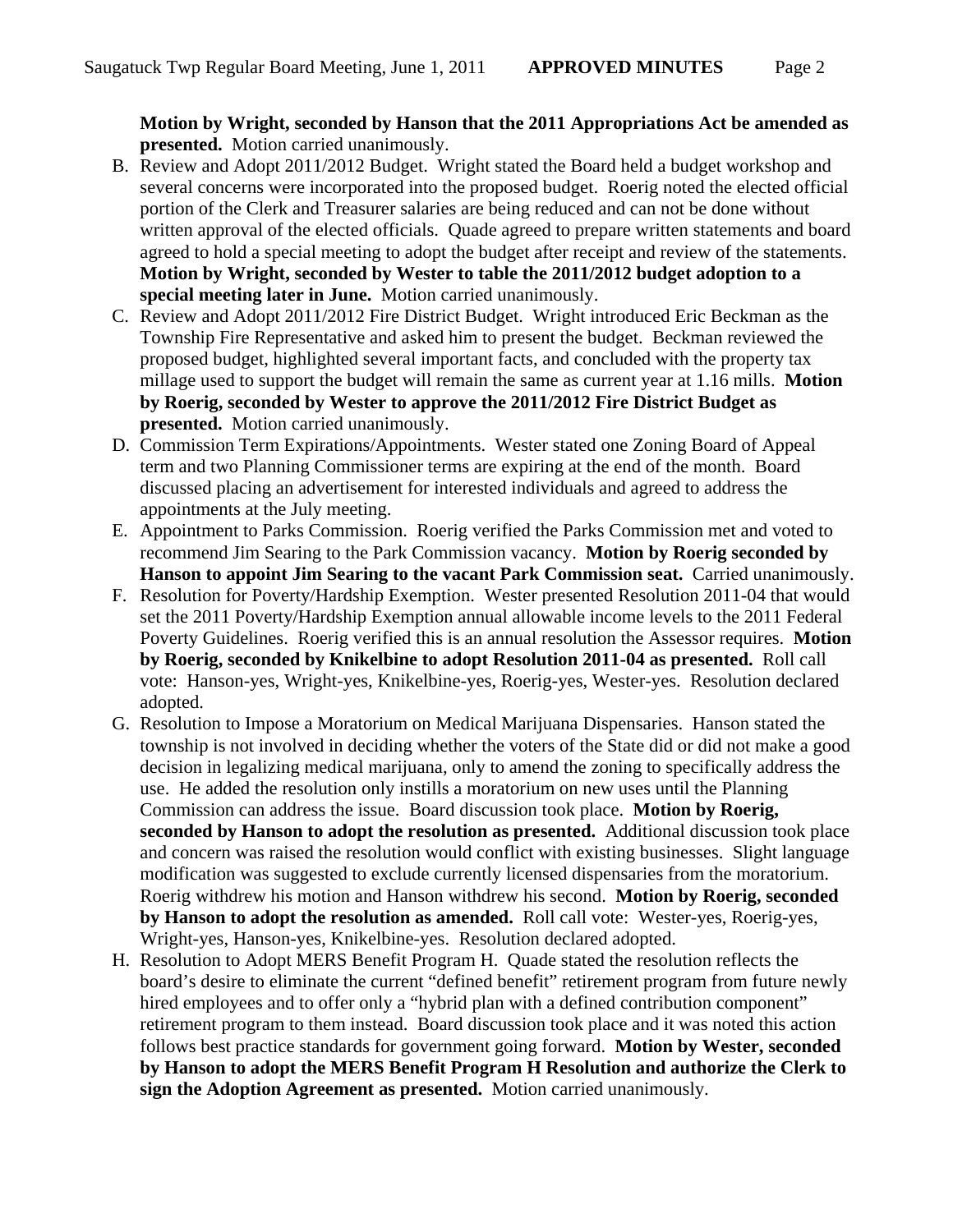**Motion by Wright, seconded by Hanson that the 2011 Appropriations Act be amended as presented.** Motion carried unanimously.

- B. Review and Adopt 2011/2012 Budget. Wright stated the Board held a budget workshop and several concerns were incorporated into the proposed budget. Roerig noted the elected official portion of the Clerk and Treasurer salaries are being reduced and can not be done without written approval of the elected officials. Quade agreed to prepare written statements and board agreed to hold a special meeting to adopt the budget after receipt and review of the statements. **Motion by Wright, seconded by Wester to table the 2011/2012 budget adoption to a special meeting later in June.** Motion carried unanimously.
- C. Review and Adopt 2011/2012 Fire District Budget. Wright introduced Eric Beckman as the Township Fire Representative and asked him to present the budget. Beckman reviewed the proposed budget, highlighted several important facts, and concluded with the property tax millage used to support the budget will remain the same as current year at 1.16 mills. **Motion by Roerig, seconded by Wester to approve the 2011/2012 Fire District Budget as presented.** Motion carried unanimously.
- D. Commission Term Expirations/Appointments. Wester stated one Zoning Board of Appeal term and two Planning Commissioner terms are expiring at the end of the month. Board discussed placing an advertisement for interested individuals and agreed to address the appointments at the July meeting.
- E. Appointment to Parks Commission. Roerig verified the Parks Commission met and voted to recommend Jim Searing to the Park Commission vacancy. **Motion by Roerig seconded by Hanson to appoint Jim Searing to the vacant Park Commission seat.** Carried unanimously.
- F. Resolution for Poverty/Hardship Exemption. Wester presented Resolution 2011-04 that would set the 2011 Poverty/Hardship Exemption annual allowable income levels to the 2011 Federal Poverty Guidelines. Roerig verified this is an annual resolution the Assessor requires. **Motion by Roerig, seconded by Knikelbine to adopt Resolution 2011-04 as presented.** Roll call vote: Hanson-yes, Wright-yes, Knikelbine-yes, Roerig-yes, Wester-yes. Resolution declared adopted.
- G. Resolution to Impose a Moratorium on Medical Marijuana Dispensaries. Hanson stated the township is not involved in deciding whether the voters of the State did or did not make a good decision in legalizing medical marijuana, only to amend the zoning to specifically address the use. He added the resolution only instills a moratorium on new uses until the Planning Commission can address the issue. Board discussion took place. **Motion by Roerig, seconded by Hanson to adopt the resolution as presented.** Additional discussion took place and concern was raised the resolution would conflict with existing businesses. Slight language modification was suggested to exclude currently licensed dispensaries from the moratorium. Roerig withdrew his motion and Hanson withdrew his second. **Motion by Roerig, seconded by Hanson to adopt the resolution as amended.** Roll call vote: Wester-yes, Roerig-yes, Wright-yes, Hanson-yes, Knikelbine-yes. Resolution declared adopted.
- H. Resolution to Adopt MERS Benefit Program H. Quade stated the resolution reflects the board's desire to eliminate the current "defined benefit" retirement program from future newly hired employees and to offer only a "hybrid plan with a defined contribution component" retirement program to them instead. Board discussion took place and it was noted this action follows best practice standards for government going forward. **Motion by Wester, seconded by Hanson to adopt the MERS Benefit Program H Resolution and authorize the Clerk to sign the Adoption Agreement as presented.** Motion carried unanimously.